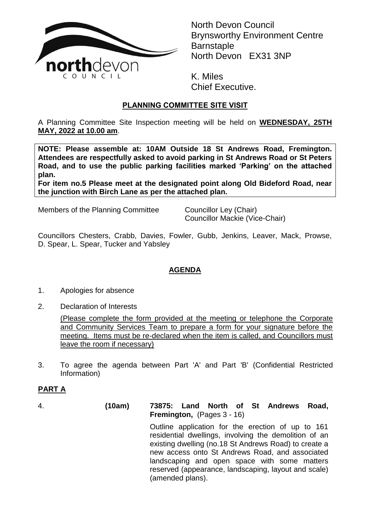

North Devon Council Brynsworthy Environment Centre **Barnstaple** North Devon EX31 3NP

K. Miles Chief Executive.

## **PLANNING COMMITTEE SITE VISIT**

A Planning Committee Site Inspection meeting will be held on **WEDNESDAY, 25TH MAY, 2022 at 10.00 am**.

**NOTE: Please assemble at: 10AM Outside 18 St Andrews Road, Fremington. Attendees are respectfully asked to avoid parking in St Andrews Road or St Peters Road, and to use the public parking facilities marked 'Parking' on the attached plan.**

**For item no.5 Please meet at the designated point along Old Bideford Road, near the junction with Birch Lane as per the attached plan.**

Members of the Planning Committee Councillor Ley (Chair)

Councillor Mackie (Vice-Chair)

Councillors Chesters, Crabb, Davies, Fowler, Gubb, Jenkins, Leaver, Mack, Prowse, D. Spear, L. Spear, Tucker and Yabsley

# **AGENDA**

- 1. Apologies for absence
- 2. Declaration of Interests

(Please complete the form provided at the meeting or telephone the Corporate and Community Services Team to prepare a form for your signature before the meeting. Items must be re-declared when the item is called, and Councillors must leave the room if necessary)

3. To agree the agenda between Part 'A' and Part 'B' (Confidential Restricted Information)

## **PART A**

4. **(10am) 73875: Land North of St Andrews Road, Fremington,** (Pages 3 - 16) Outline application for the erection of up to 161 residential dwellings, involving the demolition of an existing dwelling (no.18 St Andrews Road) to create a new access onto St Andrews Road, and associated landscaping and open space with some matters reserved (appearance, landscaping, layout and scale) (amended plans).